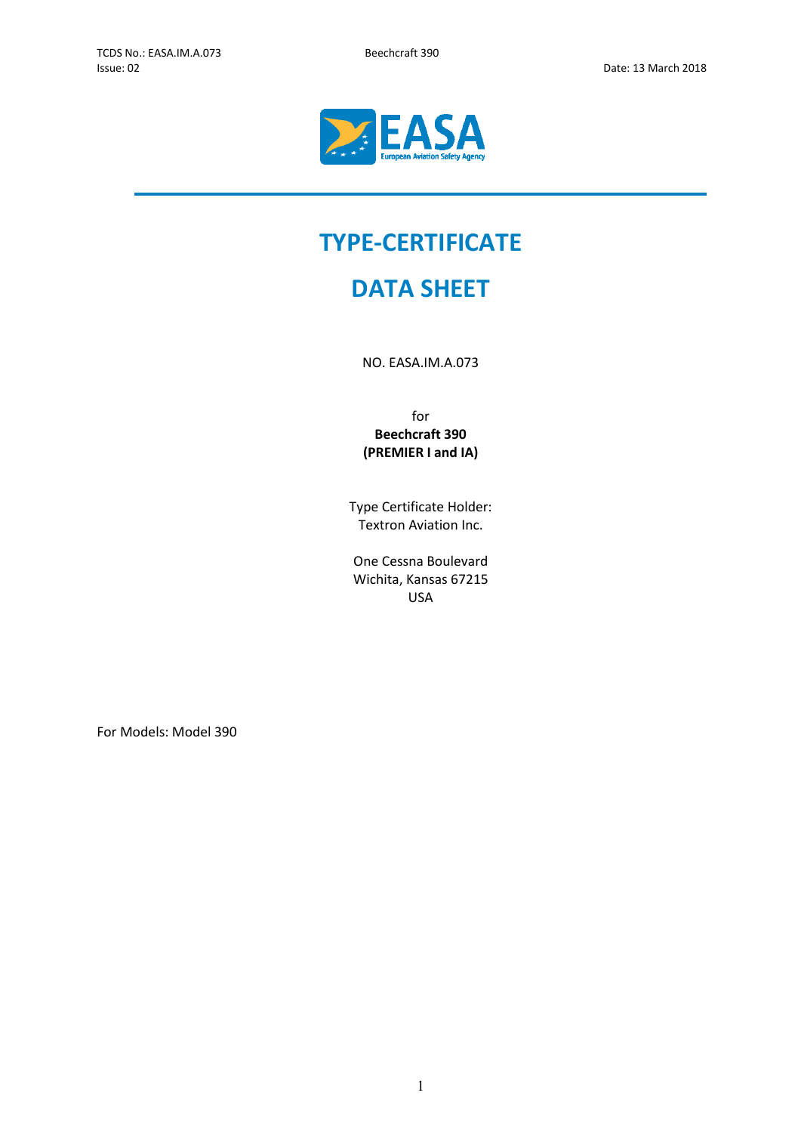

# **TYPE-CERTIFICATE**

## **DATA SHEET**

NO. EASA.IM.A.073

for **Beechcraft 390 (PREMIER I and IA)**

Type Certificate Holder: Textron Aviation Inc.

One Cessna Boulevard Wichita, Kansas 67215 USA

For Models: Model 390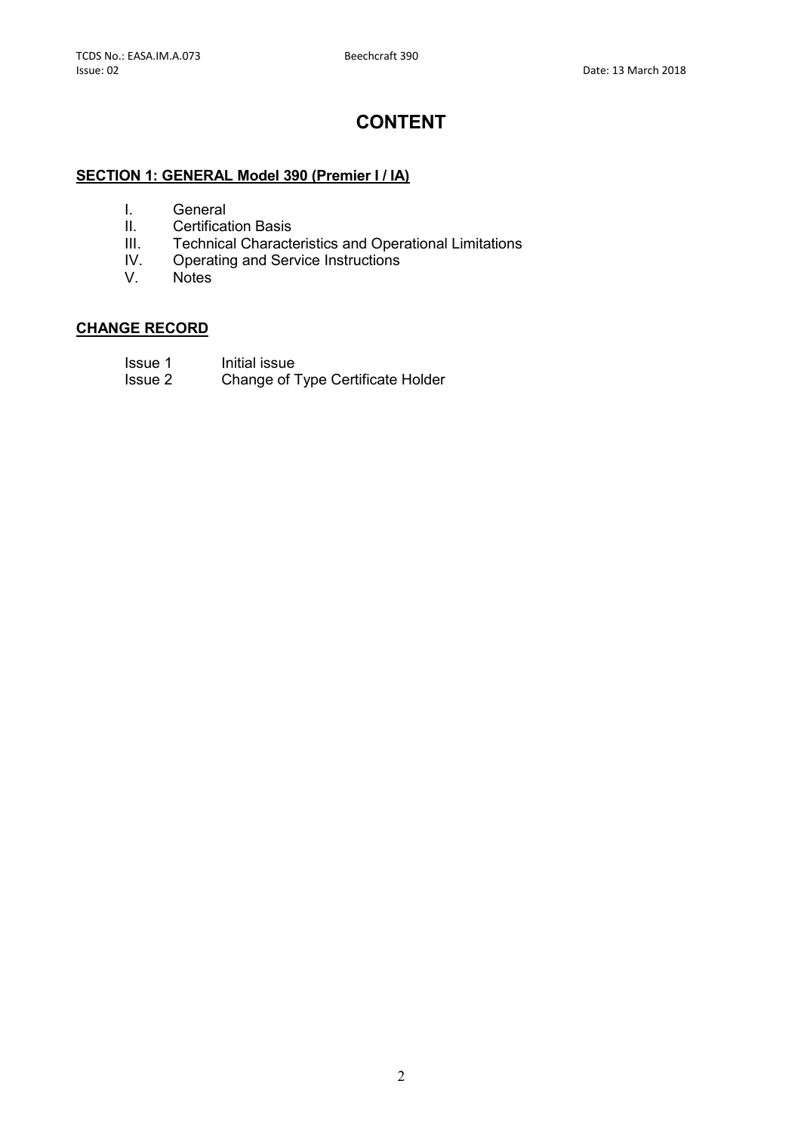### **CONTENT**

#### **SECTION 1: GENERAL Model 390 (Premier I / IA)**

- I. General
- II. Certification Basis<br>III. Technical Charact
- III. Technical Characteristics and Operational Limitations<br>IV. Operating and Service Instructions
- IV. Operating and Service Instructions<br>V. Notes
- **Notes**

#### **CHANGE RECORD**

- Issue 1 Initial issue
- Issue 2 Change of Type Certificate Holder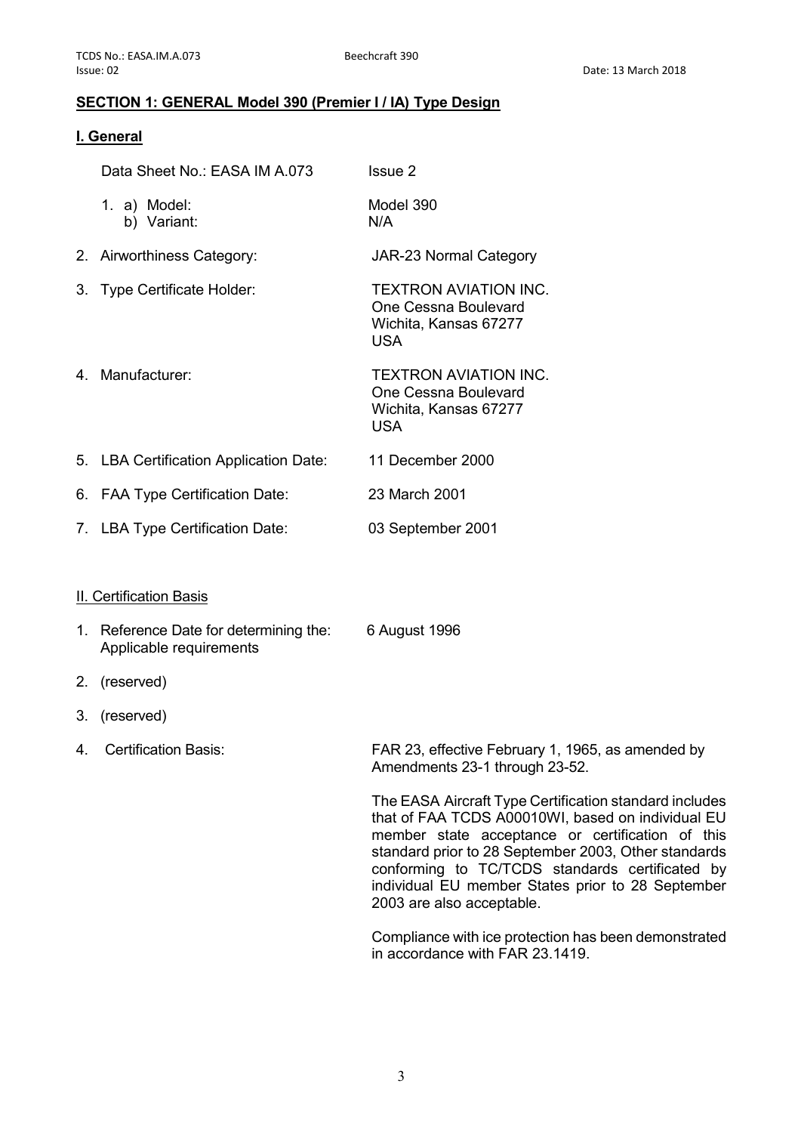#### **SECTION 1: GENERAL Model 390 (Premier I / IA) Type Design**

#### **I. General**

| Data Sheet No.: EASA IM A.073                                     | Issue 2                                                                                                                                                                                                                                                                                                                                                      |
|-------------------------------------------------------------------|--------------------------------------------------------------------------------------------------------------------------------------------------------------------------------------------------------------------------------------------------------------------------------------------------------------------------------------------------------------|
| 1. a) Model:<br>b) Variant:                                       | Model 390<br>N/A                                                                                                                                                                                                                                                                                                                                             |
| 2. Airworthiness Category:                                        | <b>JAR-23 Normal Category</b>                                                                                                                                                                                                                                                                                                                                |
| 3. Type Certificate Holder:                                       | <b>TEXTRON AVIATION INC.</b><br>One Cessna Boulevard<br>Wichita, Kansas 67277<br><b>USA</b>                                                                                                                                                                                                                                                                  |
| 4. Manufacturer:                                                  | <b>TEXTRON AVIATION INC.</b><br>One Cessna Boulevard<br>Wichita, Kansas 67277<br><b>USA</b>                                                                                                                                                                                                                                                                  |
| 5. LBA Certification Application Date:                            | 11 December 2000                                                                                                                                                                                                                                                                                                                                             |
| 6. FAA Type Certification Date:                                   | 23 March 2001                                                                                                                                                                                                                                                                                                                                                |
| 7. LBA Type Certification Date:                                   | 03 September 2001                                                                                                                                                                                                                                                                                                                                            |
| <b>II. Certification Basis</b>                                    |                                                                                                                                                                                                                                                                                                                                                              |
| 1. Reference Date for determining the:<br>Applicable requirements | 6 August 1996                                                                                                                                                                                                                                                                                                                                                |
| 2. (reserved)                                                     |                                                                                                                                                                                                                                                                                                                                                              |
| 3. (reserved)                                                     |                                                                                                                                                                                                                                                                                                                                                              |
| 4. Certification Basis:                                           | FAR 23, effective February 1, 1965, as amended by<br>Amendments 23-1 through 23-52.                                                                                                                                                                                                                                                                          |
|                                                                   | The EASA Aircraft Type Certification standard includes<br>that of FAA TCDS A00010WI, based on individual EU<br>member state acceptance or certification of this<br>standard prior to 28 September 2003, Other standards<br>conforming to TC/TCDS standards certificated by<br>individual EU member States prior to 28 September<br>2003 are also acceptable. |

Compliance with ice protection has been demonstrated in accordance with FAR 23.1419.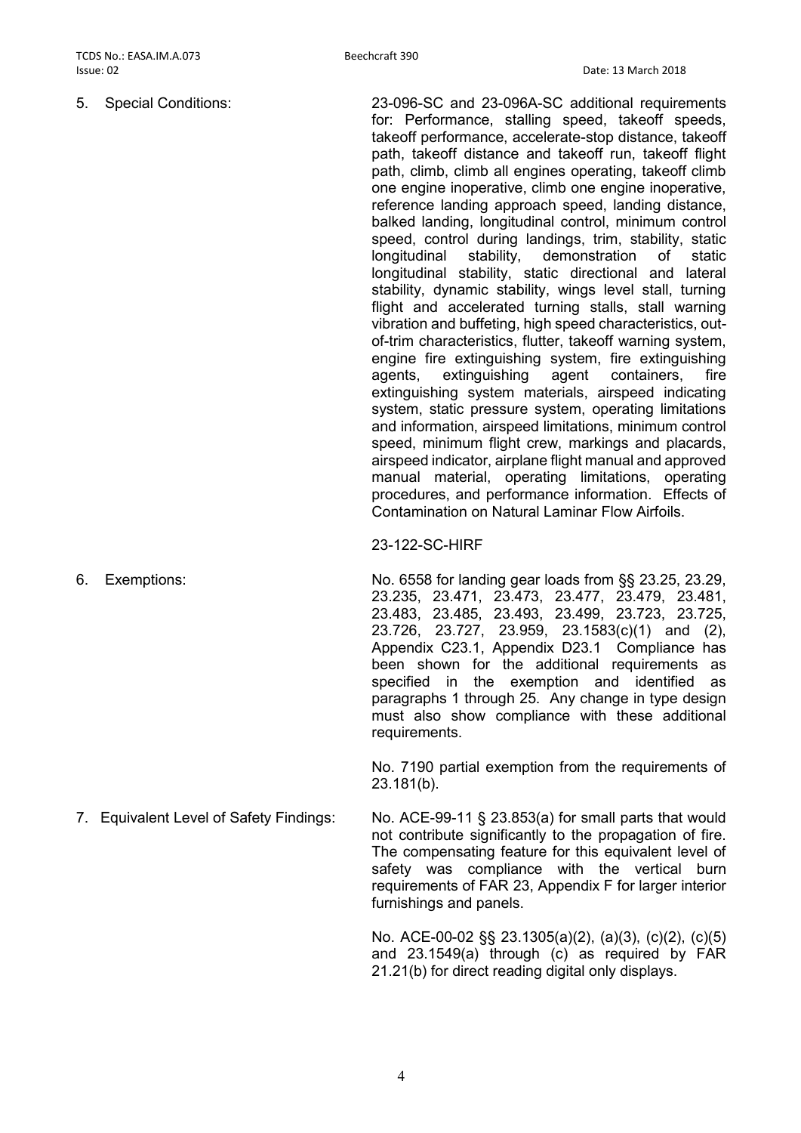5. Special Conditions: 23-096-SC and 23-096A-SC additional requirements for: Performance, stalling speed, takeoff speeds, takeoff performance, accelerate-stop distance, takeoff path, takeoff distance and takeoff run, takeoff flight path, climb, climb all engines operating, takeoff climb one engine inoperative, climb one engine inoperative, reference landing approach speed, landing distance, balked landing, longitudinal control, minimum control speed, control during landings, trim, stability, static longitudinal stability, demonstration of static longitudinal stability, static directional and lateral stability, dynamic stability, wings level stall, turning flight and accelerated turning stalls, stall warning vibration and buffeting, high speed characteristics, outof-trim characteristics, flutter, takeoff warning system, engine fire extinguishing system, fire extinguishing agents, extinguishing agent containers, fire extinguishing system materials, airspeed indicating system, static pressure system, operating limitations and information, airspeed limitations, minimum control speed, minimum flight crew, markings and placards, airspeed indicator, airplane flight manual and approved manual material, operating limitations, operating procedures, and performance information. Effects of Contamination on Natural Laminar Flow Airfoils.

23-122-SC-HIRF

6. Exemptions: No. 6558 for landing gear loads from §§ 23.25, 23.29, 23.235, 23.471, 23.473, 23.477, 23.479, 23.481, 23.483, 23.485, 23.493, 23.499, 23.723, 23.725, 23.726, 23.727, 23.959, 23.1583(c)(1) and (2), Appendix C23.1, Appendix D23.1 Compliance has been shown for the additional requirements as specified in the exemption and identified as paragraphs 1 through 25. Any change in type design must also show compliance with these additional requirements.

> No. 7190 partial exemption from the requirements of 23.181(b).

7. Equivalent Level of Safety Findings: No. ACE-99-11 § 23.853(a) for small parts that would not contribute significantly to the propagation of fire. The compensating feature for this equivalent level of safety was compliance with the vertical burn requirements of FAR 23, Appendix F for larger interior furnishings and panels.

> No. ACE-00-02 §§ 23.1305(a)(2), (a)(3), (c)(2), (c)(5) and 23.1549(a) through (c) as required by FAR 21.21(b) for direct reading digital only displays.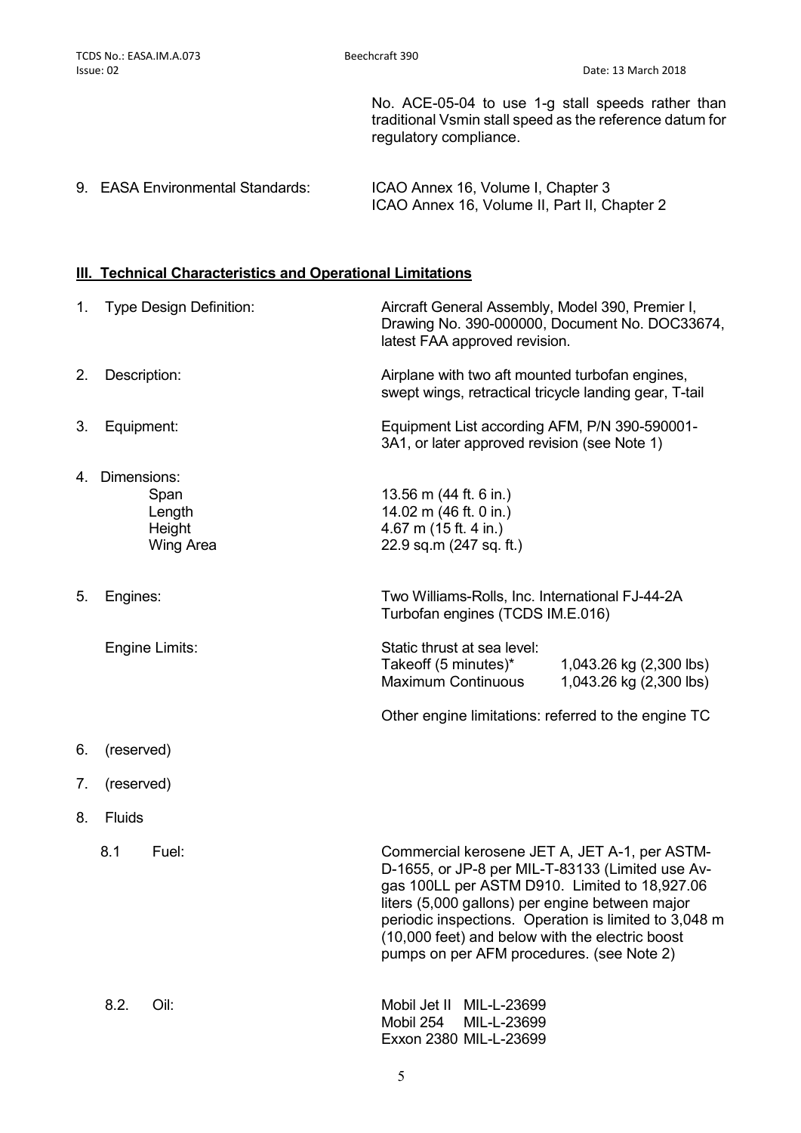No. ACE-05-04 to use 1-g stall speeds rather than traditional Vsmin stall speed as the reference datum for regulatory compliance.

9. EASA Environmental Standards: ICAO Annex 16, Volume I, Chapter 3 ICAO Annex 16, Volume II, Part II, Chapter 2

#### **III. Technical Characteristics and Operational Limitations**

|    | 1. Type Design Definition:                                     | Aircraft General Assembly, Model 390, Premier I,<br>Drawing No. 390-000000, Document No. DOC33674,<br>latest FAA approved revision.                                                                                                                                                                                                                            |  |
|----|----------------------------------------------------------------|----------------------------------------------------------------------------------------------------------------------------------------------------------------------------------------------------------------------------------------------------------------------------------------------------------------------------------------------------------------|--|
| 2. | Description:                                                   | Airplane with two aft mounted turbofan engines,<br>swept wings, retractical tricycle landing gear, T-tail                                                                                                                                                                                                                                                      |  |
| 3. | Equipment:                                                     | Equipment List according AFM, P/N 390-590001-<br>3A1, or later approved revision (see Note 1)                                                                                                                                                                                                                                                                  |  |
|    | 4. Dimensions:<br>Span<br>Length<br>Height<br><b>Wing Area</b> | 13.56 m (44 ft. 6 in.)<br>14.02 m (46 ft. 0 in.)<br>4.67 m (15 ft. 4 in.)<br>22.9 sq.m (247 sq. ft.)                                                                                                                                                                                                                                                           |  |
| 5. | Engines:                                                       | Two Williams-Rolls, Inc. International FJ-44-2A<br>Turbofan engines (TCDS IM.E.016)                                                                                                                                                                                                                                                                            |  |
|    | Engine Limits:                                                 | Static thrust at sea level:<br>Takeoff (5 minutes)*<br>1,043.26 kg (2,300 lbs)<br><b>Maximum Continuous</b><br>1,043.26 kg (2,300 lbs)                                                                                                                                                                                                                         |  |
|    |                                                                | Other engine limitations: referred to the engine TC                                                                                                                                                                                                                                                                                                            |  |
| 6. | (reserved)                                                     |                                                                                                                                                                                                                                                                                                                                                                |  |
| 7. | (reserved)                                                     |                                                                                                                                                                                                                                                                                                                                                                |  |
| 8. | Fluids                                                         |                                                                                                                                                                                                                                                                                                                                                                |  |
|    | 8.1<br>Fuel:                                                   | Commercial kerosene JET A, JET A-1, per ASTM-<br>D-1655, or JP-8 per MIL-T-83133 (Limited use Av-<br>gas 100LL per ASTM D910. Limited to 18,927.06<br>liters (5,000 gallons) per engine between major<br>periodic inspections. Operation is limited to 3,048 m<br>(10,000 feet) and below with the electric boost<br>pumps on per AFM procedures. (see Note 2) |  |
|    | 8.2.<br>Oil:                                                   | Mobil Jet II<br>MIL-L-23699<br>Mobil 254<br>MIL-L-23699<br>Exxon 2380 MIL-L-23699                                                                                                                                                                                                                                                                              |  |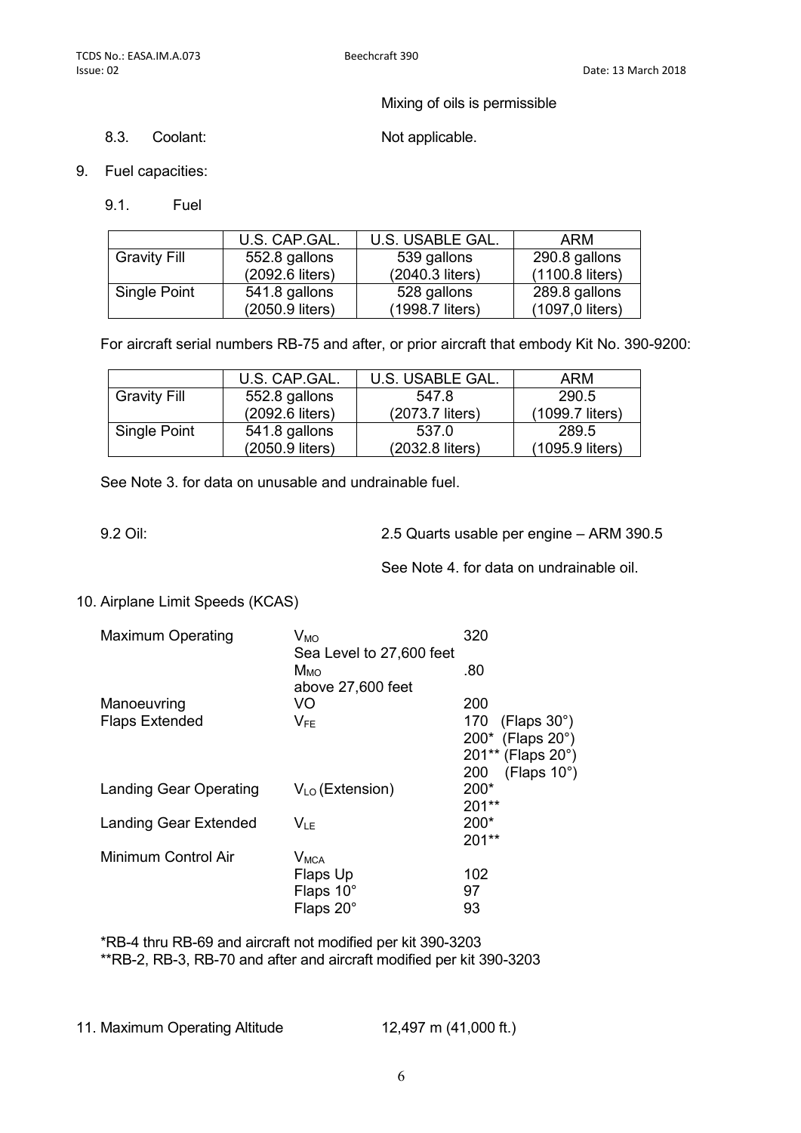Mixing of oils is permissible

8.3. Coolant: Not applicable.

- 9. Fuel capacities:
	- 9.1. Fuel

|                     | U.S. CAP.GAL.   | U.S. USABLE GAL. | ARM             |
|---------------------|-----------------|------------------|-----------------|
| <b>Gravity Fill</b> | 552.8 gallons   | 539 gallons      | 290.8 gallons   |
|                     | (2092.6 liters) | (2040.3 liters)  | (1100.8 liters) |
| Single Point        | 541.8 gallons   | 528 gallons      | 289.8 gallons   |
|                     | (2050.9 liters) | (1998.7 liters)  | (1097,0 liters) |

For aircraft serial numbers RB-75 and after, or prior aircraft that embody Kit No. 390-9200:

|                     | U.S. CAP.GAL.   | U.S. USABLE GAL. | ARM             |
|---------------------|-----------------|------------------|-----------------|
| <b>Gravity Fill</b> | 552.8 gallons   | 547.8            | 290.5           |
|                     | (2092.6 liters) | (2073.7 liters)  | (1099.7 liters) |
| Single Point        | 541.8 gallons   | 537.0            | 289.5           |
|                     | (2050.9 liters) | (2032.8 liters)  | (1095.9 liters) |

See Note 3. for data on unusable and undrainable fuel.

9.2 Oil: 2.5 Quarts usable per engine – ARM 390.5

See Note 4. for data on undrainable oil.

10. Airplane Limit Speeds (KCAS)

| <b>Maximum Operating</b>      | $V_{MO}$                 | 320                     |
|-------------------------------|--------------------------|-------------------------|
|                               | Sea Level to 27,600 feet |                         |
|                               | M <sub>MO</sub>          | .80                     |
|                               | above 27,600 feet        |                         |
| Manoeuvring                   | VO                       | 200                     |
| <b>Flaps Extended</b>         | $V_{FE}$                 | 170 (Flaps $30^\circ$ ) |
|                               |                          | 200* (Flaps 20°)        |
|                               |                          | 201** (Flaps 20°)       |
|                               |                          | (Flaps 10°)<br>200      |
| <b>Landing Gear Operating</b> | $V_{LO}$ (Extension)     | 200*                    |
|                               |                          | $201**$                 |
| <b>Landing Gear Extended</b>  | $V_{IF}$                 | 200*                    |
|                               |                          | $201**$                 |
| Minimum Control Air           | <b>V<sub>MCA</sub></b>   |                         |
|                               | Flaps Up                 | 102                     |
|                               | Flaps 10°                | 97                      |
|                               | Flaps 20°                | 93                      |

\*RB-4 thru RB-69 and aircraft not modified per kit 390-3203 \*\*RB-2, RB-3, RB-70 and after and aircraft modified per kit 390-3203

11. Maximum Operating Altitude 12,497 m (41,000 ft.)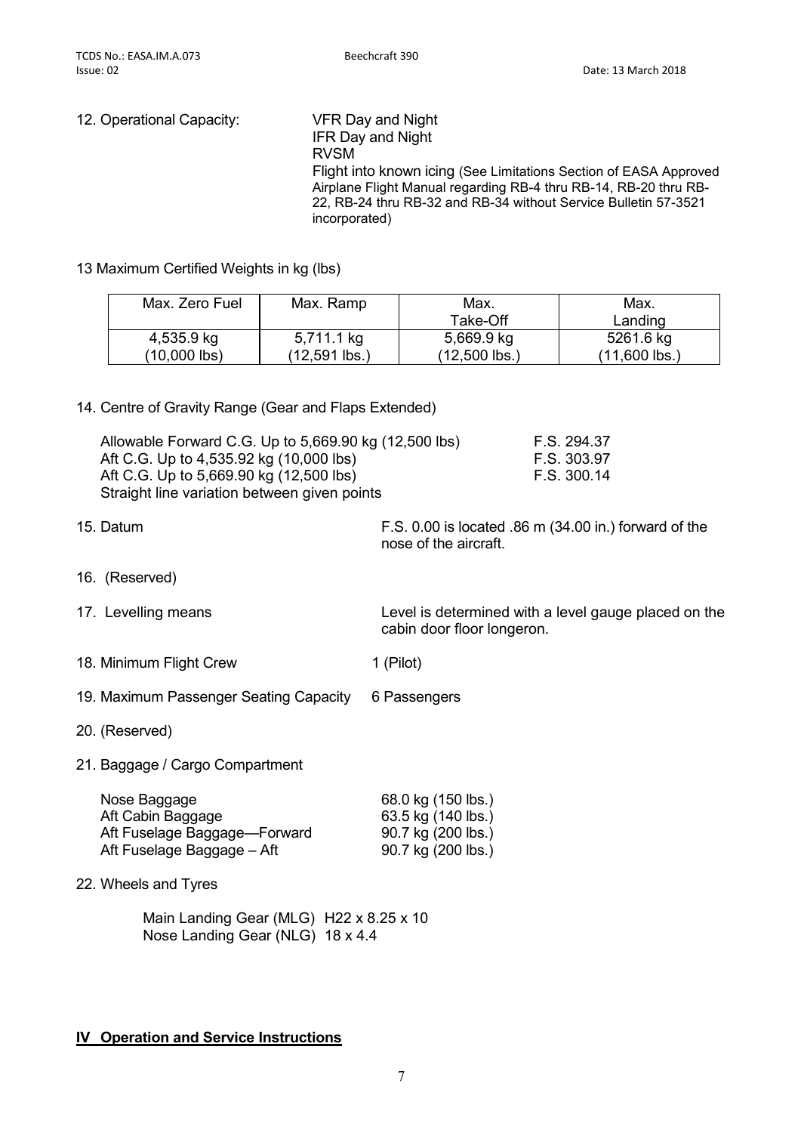| 12. Operational Capacity: | VFR Day and Night<br><b>IFR Day and Night</b><br><b>RVSM</b><br>Flight into known icing (See Limitations Section of EASA Approved<br>Airplane Flight Manual regarding RB-4 thru RB-14, RB-20 thru RB-<br>22, RB-24 thru RB-32 and RB-34 without Service Bulletin 57-3521<br>incorporated) |
|---------------------------|-------------------------------------------------------------------------------------------------------------------------------------------------------------------------------------------------------------------------------------------------------------------------------------------|
|                           |                                                                                                                                                                                                                                                                                           |

13 Maximum Certified Weights in kg (lbs)

| Max. Zero Fuel | Max. Ramp     | Max.          | Max.            |
|----------------|---------------|---------------|-----------------|
|                |               | Take-Off      | Landing         |
| 4,535.9 kg     | 5,711.1 kg    | 5,669.9 kg    | 5261.6 kg       |
| (10,000 lbs)   | (12,591 lbs.) | (12,500 lbs.) | $(11,600$ lbs.) |

#### 14. Centre of Gravity Range (Gear and Flaps Extended)

| Allowable Forward C.G. Up to 5,669.90 kg (12,500 lbs) | F.S. 294.37 |
|-------------------------------------------------------|-------------|
| Aft C.G. Up to 4,535.92 kg (10,000 lbs)               | F.S. 303.97 |
| Aft C.G. Up to 5,669.90 kg (12,500 lbs)               | F.S. 300.14 |
| Straight line variation between given points          |             |

15. Datum F.S. 0.00 is located .86 m (34.00 in.) forward of the nose of the aircraft.

- 16. (Reserved)
- 

17. Levelling means **Level is determined with a level gauge placed on the** cabin door floor longeron.

- 18. Minimum Flight Crew 1 (Pilot)
- 19. Maximum Passenger Seating Capacity 6 Passengers
- 20. (Reserved)
- 21. Baggage / Cargo Compartment

| Nose Baggage                 | 68.0 kg (150 lbs.) |
|------------------------------|--------------------|
| Aft Cabin Baggage            | 63.5 kg (140 lbs.) |
| Aft Fuselage Baggage—Forward | 90.7 kg (200 lbs.) |
| Aft Fuselage Baggage – Aft   | 90.7 kg (200 lbs.) |
|                              |                    |

22. Wheels and Tyres

Main Landing Gear (MLG) H22 x 8.25 x 10 Nose Landing Gear (NLG) 18 x 4.4

#### **IV Operation and Service Instructions**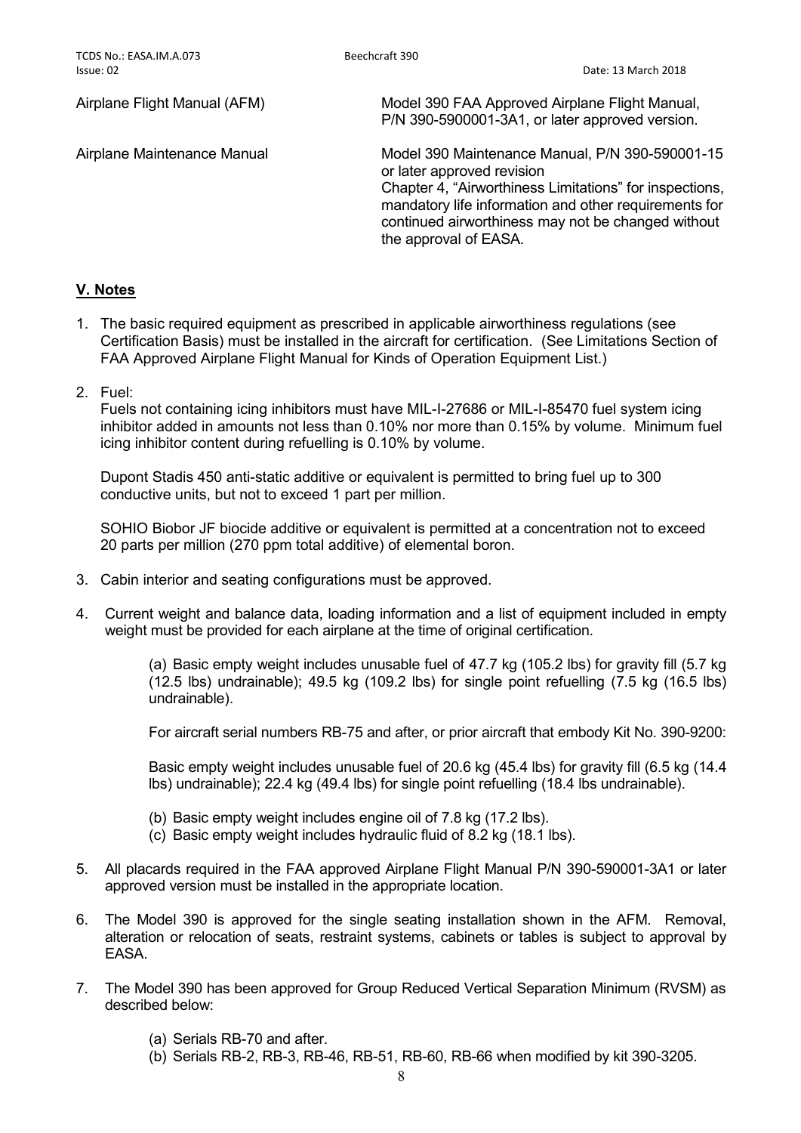Airplane Flight Manual (AFM) Model 390 FAA Approved Airplane Flight Manual, P/N 390-5900001-3A1, or later approved version.

Airplane Maintenance Manual Model 390 Maintenance Manual, P/N 390-590001-15 or later approved revision Chapter 4, "Airworthiness Limitations" for inspections, mandatory life information and other requirements for continued airworthiness may not be changed without the approval of EASA.

#### **V. Notes**

- 1. The basic required equipment as prescribed in applicable airworthiness regulations (see Certification Basis) must be installed in the aircraft for certification. (See Limitations Section of FAA Approved Airplane Flight Manual for Kinds of Operation Equipment List.)
- 2. Fuel:

Fuels not containing icing inhibitors must have MIL-I-27686 or MIL-I-85470 fuel system icing inhibitor added in amounts not less than 0.10% nor more than 0.15% by volume. Minimum fuel icing inhibitor content during refuelling is 0.10% by volume.

Dupont Stadis 450 anti-static additive or equivalent is permitted to bring fuel up to 300 conductive units, but not to exceed 1 part per million.

SOHIO Biobor JF biocide additive or equivalent is permitted at a concentration not to exceed 20 parts per million (270 ppm total additive) of elemental boron.

- 3. Cabin interior and seating configurations must be approved.
- 4. Current weight and balance data, loading information and a list of equipment included in empty weight must be provided for each airplane at the time of original certification.

(a) Basic empty weight includes unusable fuel of 47.7 kg (105.2 lbs) for gravity fill (5.7 kg (12.5 lbs) undrainable); 49.5 kg (109.2 lbs) for single point refuelling (7.5 kg (16.5 lbs) undrainable).

For aircraft serial numbers RB-75 and after, or prior aircraft that embody Kit No. 390-9200:

Basic empty weight includes unusable fuel of 20.6 kg (45.4 lbs) for gravity fill (6.5 kg (14.4 lbs) undrainable); 22.4 kg (49.4 lbs) for single point refuelling (18.4 lbs undrainable).

- (b) Basic empty weight includes engine oil of 7.8 kg (17.2 lbs).
- (c) Basic empty weight includes hydraulic fluid of 8.2 kg (18.1 lbs).
- 5. All placards required in the FAA approved Airplane Flight Manual P/N 390-590001-3A1 or later approved version must be installed in the appropriate location.
- 6. The Model 390 is approved for the single seating installation shown in the AFM. Removal, alteration or relocation of seats, restraint systems, cabinets or tables is subject to approval by EASA.
- 7. The Model 390 has been approved for Group Reduced Vertical Separation Minimum (RVSM) as described below:
	- (a) Serials RB-70 and after.
	- (b) Serials RB-2, RB-3, RB-46, RB-51, RB-60, RB-66 when modified by kit 390-3205.